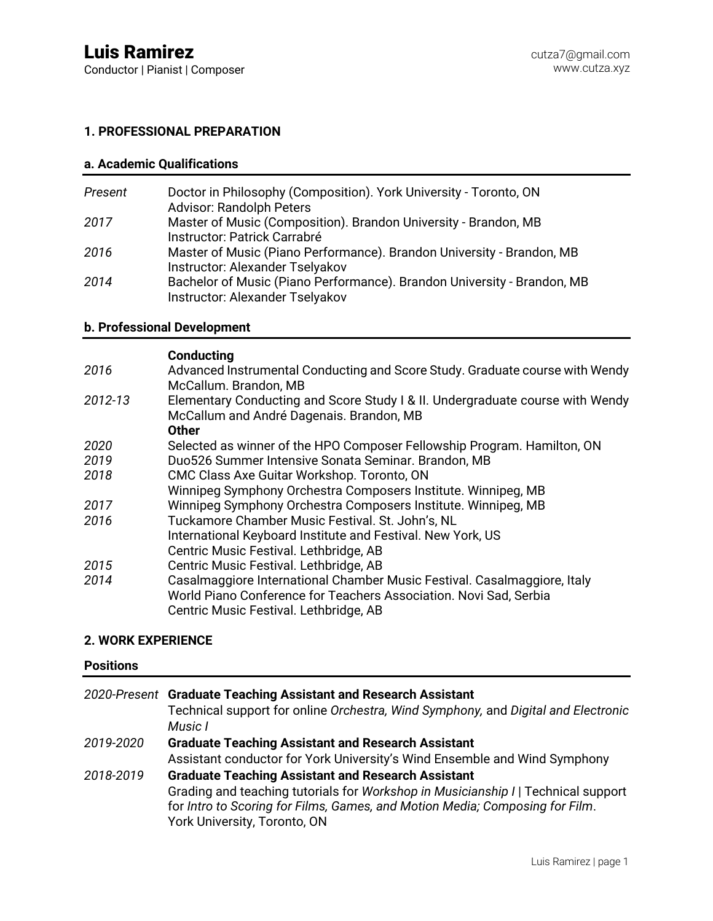Conductor | Pianist | Composer

# **1. PROFESSIONAL PREPARATION**

# **a. Academic Qualifications**

| Present | Doctor in Philosophy (Composition). York University - Toronto, ON<br><b>Advisor: Randolph Peters</b>       |
|---------|------------------------------------------------------------------------------------------------------------|
| 2017    | Master of Music (Composition). Brandon University - Brandon, MB<br>Instructor: Patrick Carrabré            |
| 2016    | Master of Music (Piano Performance). Brandon University - Brandon, MB<br>Instructor: Alexander Tselyakov   |
| 2014    | Bachelor of Music (Piano Performance). Brandon University - Brandon, MB<br>Instructor: Alexander Tselyakov |

# **b. Professional Development**

### **Conducting**

|         | vuiuuvuin                                                                     |
|---------|-------------------------------------------------------------------------------|
| 2016    | Advanced Instrumental Conducting and Score Study. Graduate course with Wendy  |
|         | McCallum. Brandon, MB                                                         |
| 2012-13 | Elementary Conducting and Score Study I & II. Undergraduate course with Wendy |
|         | McCallum and André Dagenais. Brandon, MB                                      |
|         | <b>Other</b>                                                                  |
| 2020    | Selected as winner of the HPO Composer Fellowship Program. Hamilton, ON       |
| 2019    | Duo526 Summer Intensive Sonata Seminar. Brandon, MB                           |
| 2018    | CMC Class Axe Guitar Workshop. Toronto, ON                                    |
|         | Winnipeg Symphony Orchestra Composers Institute. Winnipeg, MB                 |
| 2017    | Winnipeg Symphony Orchestra Composers Institute. Winnipeg, MB                 |
| 2016    | Tuckamore Chamber Music Festival. St. John's, NL                              |
|         | International Keyboard Institute and Festival. New York, US                   |
|         | Centric Music Festival. Lethbridge, AB                                        |
| 2015    | Centric Music Festival. Lethbridge, AB                                        |
| 2014    | Casalmaggiore International Chamber Music Festival. Casalmaggiore, Italy      |
|         | World Piano Conference for Teachers Association. Novi Sad, Serbia             |
|         | Centric Music Festival. Lethbridge, AB                                        |
|         |                                                                               |

# **2. WORK EXPERIENCE**

# **Positions**

|           | 2020-Present Graduate Teaching Assistant and Research Assistant<br>Technical support for online Orchestra, Wind Symphony, and Digital and Electronic<br>Music I                                                                                                |
|-----------|----------------------------------------------------------------------------------------------------------------------------------------------------------------------------------------------------------------------------------------------------------------|
| 2019-2020 | <b>Graduate Teaching Assistant and Research Assistant</b><br>Assistant conductor for York University's Wind Ensemble and Wind Symphony                                                                                                                         |
| 2018-2019 | <b>Graduate Teaching Assistant and Research Assistant</b><br>Grading and teaching tutorials for Workshop in Musicianship /   Technical support<br>for Intro to Scoring for Films, Games, and Motion Media; Composing for Film.<br>York University, Toronto, ON |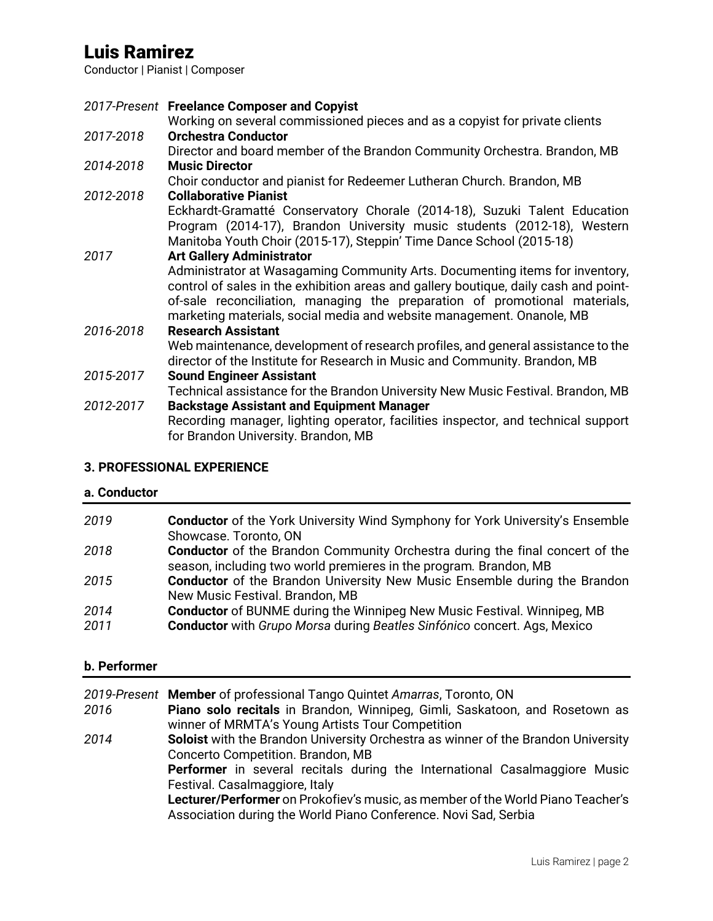# Luis Ramirez

Conductor | Pianist | Composer

*2017-Present* **Freelance Composer and Copyist** Working on several commissioned pieces and as a copyist for private clients *2017-2018* **Orchestra Conductor** Director and board member of the Brandon Community Orchestra. Brandon, MB *2014-2018* **Music Director** Choir conductor and pianist for Redeemer Lutheran Church. Brandon, MB *2012-2018* **Collaborative Pianist** Eckhardt-Gramatté Conservatory Chorale (2014-18), Suzuki Talent Education Program (2014-17), Brandon University music students (2012-18), Western Manitoba Youth Choir (2015-17), Steppin' Time Dance School (2015-18) *2017* **Art Gallery Administrator** Administrator at Wasagaming Community Arts. Documenting items for inventory, control of sales in the exhibition areas and gallery boutique, daily cash and pointof-sale reconciliation, managing the preparation of promotional materials, marketing materials, social media and website management. Onanole, MB *2016-2018* **Research Assistant** Web maintenance, development of research profiles, and general assistance to the director of the Institute for Research in Music and Community. Brandon, MB *2015-2017* **Sound Engineer Assistant** Technical assistance for the Brandon University New Music Festival. Brandon, MB *2012-2017* **Backstage Assistant and Equipment Manager** Recording manager, lighting operator, facilities inspector, and technical support for Brandon University. Brandon, MB

## **3. PROFESSIONAL EXPERIENCE**

### **a. Conductor**

| 2019 | <b>Conductor</b> of the York University Wind Symphony for York University's Ensemble |
|------|--------------------------------------------------------------------------------------|
|      | Showcase. Toronto, ON                                                                |
| 2018 | <b>Conductor</b> of the Brandon Community Orchestra during the final concert of the  |
|      | season, including two world premieres in the program. Brandon, MB                    |
| 2015 | <b>Conductor</b> of the Brandon University New Music Ensemble during the Brandon     |
|      | New Music Festival. Brandon, MB                                                      |
| 2014 | <b>Conductor</b> of BUNME during the Winnipeg New Music Festival. Winnipeg, MB       |
| 2011 | <b>Conductor</b> with Grupo Morsa during Beatles Sinfónico concert. Ags, Mexico      |

### **b. Performer**

|      | 2019-Present Member of professional Tango Quintet Amarras, Toronto, ON                                                                                                                                                                                                                                                                                                                              |
|------|-----------------------------------------------------------------------------------------------------------------------------------------------------------------------------------------------------------------------------------------------------------------------------------------------------------------------------------------------------------------------------------------------------|
| 2016 | Piano solo recitals in Brandon, Winnipeg, Gimli, Saskatoon, and Rosetown as<br>winner of MRMTA's Young Artists Tour Competition                                                                                                                                                                                                                                                                     |
| 2014 | Soloist with the Brandon University Orchestra as winner of the Brandon University<br>Concerto Competition. Brandon, MB<br><b>Performer</b> in several recitals during the International Casalmaggiore Music<br>Festival. Casalmaggiore, Italy<br>Lecturer/Performer on Prokofiev's music, as member of the World Piano Teacher's<br>Association during the World Piano Conference. Novi Sad, Serbia |